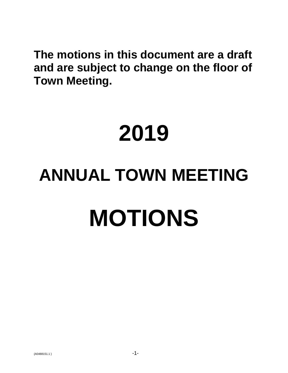**The motions in this document are a draft and are subject to change on the floor of Town Meeting.**

# **2019 ANNUAL TOWN MEETING MOTIONS**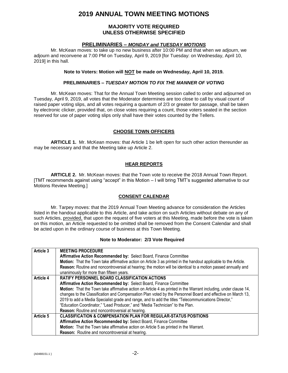# **2019 ANNUAL TOWN MEETING MOTIONS**

### **MAJORITY VOTE REQUIRED UNLESS OTHERWISE SPECIFIED**

### **PRELIMINARIES –** *MONDAY and TUESDAY MOTIONS*

Mr. McKean moves: to take up no new business after 10:00 PM and that when we adjourn, we adjourn and reconvene at 7:00 PM on Tuesday, April 9, 2019 [for Tuesday: on Wednesday, April 10, 2019] in this hall.

### **Note to Voters: Motion will NOT be made on Wednesday, April 10, 2019.**

### **PRELIMINARIES –** *TUESDAY MOTION TO FIX THE MANNER OF VOTING*

Mr. McKean moves: That for the Annual Town Meeting session called to order and adjourned on Tuesday, April 9, 2019, all votes that the Moderator determines are too close to call by visual count of raised paper voting slips, and all votes requiring a quantum of 2/3 or greater for passage, shall be taken by electronic clicker, provided that, on close votes requiring a count, those voters seated in the section reserved for use of paper voting slips only shall have their votes counted by the Tellers.

### **CHOOSE TOWN OFFICERS**

**ARTICLE 1.** Mr. McKean moves: that Article 1 be left open for such other action thereunder as may be necessary and that the Meeting take up Article 2.

### **HEAR REPORTS**

**ARTICLE 2.** Mr. McKean moves: that the Town vote to receive the 2018 Annual Town Report. [TMT recommends against using "accept" in this Motion – I will bring TMT's suggested alternative to our Motions Review Meeting.]

### **CONSENT CALENDAR**

Mr. Tarpey moves: that the 2019 Annual Town Meeting advance for consideration the Articles listed in the handout applicable to this Article, and take action on such Articles without debate on any of such Articles, provided, that upon the request of five voters at this Meeting, made before the vote is taken on this motion, an Article requested to be omitted shall be removed from the Consent Calendar and shall be acted upon in the ordinary course of business at this Town Meeting.

### **Note to Moderator: 2/3 Vote Required**

| Article 3        | <b>MEETING PROCEDURE</b>                                                                                         |
|------------------|------------------------------------------------------------------------------------------------------------------|
|                  | Affirmative Action Recommended by: Select Board, Finance Committee                                               |
|                  | Motion: That the Town take affirmative action on Article 3 as printed in the handout applicable to the Article.  |
|                  | Reason: Routine and noncontroversial at hearing; the motion will be identical to a motion passed annually and    |
|                  | unanimously for more than fifteen years.                                                                         |
| <b>Article 4</b> | <b>RATIFY PERSONNEL BOARD CLASSIFICATION ACTIONS</b>                                                             |
|                  | Affirmative Action Recommended by: Select Board, Finance Committee                                               |
|                  | Motion: That the Town take affirmative action on Article 4 as printed in the Warrant including, under clause 14, |
|                  | changes to the Classification and Compensation Plan voted by the Personnel Board and effective on March 13,      |
|                  | 2019 to add a Media Specialist grade and range, and to add the titles "Telecommunications Director,"             |
|                  | "Education Coordinator," "Lead Producer," and "Media Technician" to the Plan.                                    |
|                  | Reason: Routine and noncontroversial at hearing.                                                                 |
| Article 5        | <b>CLASSIFICATION &amp; COMPENSATION PLAN FOR REGULAR-STATUS POSITIONS</b>                                       |
|                  | Affirmative Action Recommended by: Select Board, Finance Committee                                               |
|                  | Motion: That the Town take affirmative action on Article 5 as printed in the Warrant.                            |
|                  | Reason: Routine and noncontroversial at hearing.                                                                 |

 ${40488151.1}$   $-2$ -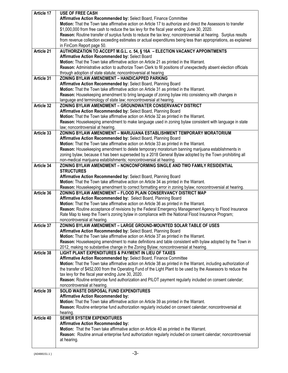| Article 17 | <b>USE OF FREE CASH</b>                                                                                                                                                        |
|------------|--------------------------------------------------------------------------------------------------------------------------------------------------------------------------------|
|            | Affirmative Action Recommended by: Select Board, Finance Committee                                                                                                             |
|            | Motion: That the Town take affirmative action on Article 17 to authorize and direct the Assessors to transfer                                                                  |
|            | \$1,000,000 from free cash to reduce the tax levy for the fiscal year ending June 30, 2020.                                                                                    |
|            | Reason: Routine transfer of surplus funds to reduce the tax levy; noncontroversial at hearing. Surplus results                                                                 |
|            | from revenue collection exceeding estimates or actual expenditures being less than appropriations, as explained                                                                |
|            | in FinCom Report page 50.                                                                                                                                                      |
| Article 21 | AUTHORIZATION TO ACCEPT M.G.L. c. 54, § 16A - ELECTION VACANCY APPOINTMENTS                                                                                                    |
|            | Affirmative Action Recommended by: Select Board                                                                                                                                |
|            | Motion: That the Town take affirmative action on Article 21 as printed in the Warrant.                                                                                         |
|            | Reason: Administrative action to authorize Town Clerk to fill positions of unexpectedly absent election officials                                                              |
|            | through adoption of state statute; noncontroversial at hearing                                                                                                                 |
| Article 31 | ZONING BYLAW AMENDMENT - HANDICAPPED PARKING                                                                                                                                   |
|            | Affirmative Action Recommended by: Select Board, Planning Board                                                                                                                |
|            | Motion: That the Town take affirmative action on Article 31 as printed in the Warrant.                                                                                         |
|            | Reason: Housekeeping amendment to bring language of zoning bylaw into consistency with changes in                                                                              |
|            | language and terminology of state law; noncontroversial at hearing.                                                                                                            |
| Article 32 | ZONING BYLAW AMENDMENT - GROUNDWATER CONSERVANCY DISTRICT                                                                                                                      |
|            | Affirmative Action Recommended by: Select Board, Planning Board                                                                                                                |
|            | Motion: That the Town take affirmative action on Article 32 as printed in the Warrant.                                                                                         |
|            | Reason: Housekeeping amendment to make language used in zoning bylaw consistent with language in state                                                                         |
|            | law; noncontroversial at hearing.                                                                                                                                              |
| Article 33 | ZONING BYLAW AMENDMENT - MARIJUANA ESTABLISHMENT TEMPORARY MORATORIUM                                                                                                          |
|            | Affirmative Action Recommended by: Select Board, Planning Board                                                                                                                |
|            | Motion: That the Town take affirmative action on Article 33 as printed in the Warrant.                                                                                         |
|            | Reason: Housekeeping amendment to delete temporary moratorium banning marijuana establishments in                                                                              |
|            | zoning bylaw, because it has been superseded by a 2018 General Bylaw adopted by the Town prohibiting all<br>non-medical marijuana establishments; noncontroversial at hearing. |
| Article 34 | ZONING BYLAW AMENDMENT - NONCONFORMING SINGLE AND TWO FAMILY RESIDENTIAL                                                                                                       |
|            | <b>STRUCTURES</b>                                                                                                                                                              |
|            | Affirmative Action Recommended by: Select Board, Planning Board                                                                                                                |
|            | Motion: That the Town take affirmative action on Article 34 as printed in the Warrant.                                                                                         |
|            | Reason: Housekeeping amendment to correct formatting error in zoning bylaw; noncontroversial at hearing.                                                                       |
| Article 36 | ZONING BYLAW AMENDMENT - FLOOD PLAIN CONSERVANCY DISTRICT MAP                                                                                                                  |
|            | Affirmative Action Recommended by: Select Board, Planning Board                                                                                                                |
|            | Motion: That the Town take affirmative action on Article 36 as printed in the Warrant.                                                                                         |
|            | Reason: Routine acceptance of revisions by the Federal Emergency Management Agency to Flood Insurance                                                                          |
|            | Rate Map to keep the Town's zoning bylaw in compliance with the National Flood Insurance Program;                                                                              |
|            | noncontroversial at hearing.                                                                                                                                                   |
| Article 37 | ZONING BYLAW AMENDMENT - LARGE GROUND-MOUNTED SOLAR TABLE OF USES                                                                                                              |
|            | Affirmative Action Recommended by: Select Board, Planning Board                                                                                                                |
|            | Motion: That the Town take affirmative action on Article 37 as printed in the Warrant.                                                                                         |
|            | Reason: Housekeeping amendment to make definitions and table consistent with bylaw adopted by the Town in                                                                      |
|            | 2012, making no substantive change in the Zoning Bylaw; noncontroversial at hearing.                                                                                           |
| Article 38 | LIGHT PLANT EXPENDITURES & PAYMENT IN LIEU OF TAXES                                                                                                                            |
|            | Affirmative Action Recommended by: Select Board, Finance Committee                                                                                                             |
|            | Motion: That the Town take affirmative action on Article 38 as printed in the Warrant, including authorization of                                                              |
|            | the transfer of \$452,000 from the Operating Fund of the Light Plant to be used by the Assessors to reduce the                                                                 |
|            | tax levy for the fiscal year ending June 30, 2020.                                                                                                                             |
|            | Reason: Routine enterprise fund authorization and PILOT payment regularly included on consent calendar;                                                                        |
|            | noncontroversial at hearing.                                                                                                                                                   |
| Article 39 | SOLID WASTE DISPOSAL FUND EXPENDITURES                                                                                                                                         |
|            | <b>Affirmative Action Recommended by:</b><br>Motion: That the Town take affirmative action on Article 39 as printed in the Warrant.                                            |
|            |                                                                                                                                                                                |
|            | Reason: Routine enterprise fund authorization regularly included on consent calendar; noncontroversial at                                                                      |
| Article 40 | hearing.<br><b>SEWER SYSTEM EXPENDITURES</b>                                                                                                                                   |
|            | <b>Affirmative Action Recommended by:</b>                                                                                                                                      |
|            | Motion: That the Town take affirmative action on Article 40 as printed in the Warrant.                                                                                         |
|            | Reason: Routine annual enterprise fund authorization regularly included on consent calendar; noncontroversial                                                                  |
|            | at hearing.                                                                                                                                                                    |
|            |                                                                                                                                                                                |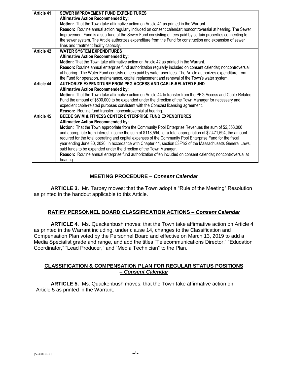| Article 41 | <b>SEWER IMPROVEMENT FUND EXPENDITURES</b>                                                                      |
|------------|-----------------------------------------------------------------------------------------------------------------|
|            | <b>Affirmative Action Recommended by:</b>                                                                       |
|            | Motion: That the Town take affirmative action on Article 41 as printed in the Warrant.                          |
|            | Reason: Routine annual action regularly included on consent calendar; noncontroversial at hearing. The Sewer    |
|            | Improvement Fund is a sub-fund of the Sewer Fund consisting of fees paid by certain properties connecting to    |
|            | the sewer system. The Article authorizes expenditure from the Fund for construction and expansion of sewer      |
|            | lines and treatment facility capacity.                                                                          |
| Article 42 | <b>WATER SYSTEM EXPENDITURES</b>                                                                                |
|            | <b>Affirmative Action Recommended by:</b>                                                                       |
|            | Motion: That the Town take affirmative action on Article 42 as printed in the Warrant.                          |
|            | Reason: Routine annual enterprise fund authorization regularly included on consent calendar; noncontroversial   |
|            | at hearing. The Water Fund consists of fees paid by water user fees. The Article authorizes expenditure from    |
|            | the Fund for operation, maintenance, capital replacement and renewal of the Town's water system.                |
| Article 44 | AUTHORIZE EXPENDITURE FROM PEG ACCESS AND CABLE-RELATED FUND                                                    |
|            | <b>Affirmative Action Recommended by:</b>                                                                       |
|            | Motion: That the Town take affirmative action on Article 44 to transfer from the PEG Access and Cable-Related   |
|            | Fund the amount of \$600,000 to be expended under the direction of the Town Manager for necessary and           |
|            | expedient cable-related purposes consistent with the Comcast licensing agreement.                               |
|            | Reason: Routine fund transfer; noncontroversial at hearing.                                                     |
| Article 45 | BEEDE SWIM & FITNESS CENTER ENTERPRISE FUND EXPENDITURES                                                        |
|            | <b>Affirmative Action Recommended by:</b>                                                                       |
|            | Motion: That the Town appropriate from the Community Pool Enterprise Revenues the sum of \$2,353,000            |
|            | and appropriate from interest income the sum of \$118,594, for a total appropriation of \$2,471,594, the amount |
|            | required for the total operating and capital expenses of the Community Pool Enterprise Fund for the fiscal      |
|            | year ending June 30, 2020, in accordance with Chapter 44, section 53F1/2 of the Massachusetts General Laws,     |
|            | said funds to be expended under the direction of the Town Manager.                                              |
|            | Reason: Routine annual enterprise fund authorization often included on consent calendar; noncontroversial at    |
|            | hearing.                                                                                                        |

# **MEETING PROCEDURE –** *Consent Calendar*

**ARTICLE 3.** Mr. Tarpey moves: that the Town adopt a "Rule of the Meeting" Resolution as printed in the handout applicable to this Article.

# **RATIFY PERSONNEL BOARD CLASSIFICATION ACTIONS –** *Consent Calendar*

**ARTICLE 4.** Ms. Quackenbush moves: that the Town take affirmative action on Article 4 as printed in the Warrant including, under clause 14, changes to the Classification and Compensation Plan voted by the Personnel Board and effective on March 13, 2019 to add a Media Specialist grade and range, and add the titles "Telecommunications Director," "Education Coordinator," "Lead Producer," and "Media Technician" to the Plan.

### **CLASSIFICATION & COMPENSATION PLAN FOR REGULAR STATUS POSITIONS –** *Consent Calendar*

**ARTICLE 5.** Ms. Quackenbush moves: that the Town take affirmative action on Article 5 as printed in the Warrant.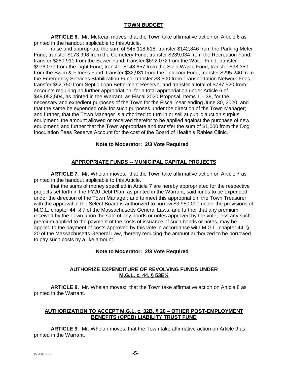# **TOWN BUDGET**

**ARTICLE 6.** Mr. McKean moves: that the Town take affirmative action on Article 6 as printed in the handout applicable to this Article.

raise and appropriate the sum of \$45,118,618, transfer \$142,846 from the Parking Meter Fund, transfer \$173,998 from the Cemetery Fund, transfer \$239,034 from the Recreation Fund, transfer \$250,911 from the Sewer Fund, transfer \$692,072 from the Water Fund, transfer \$976,077 from the Light Fund, transfer \$148,657 from the Solid Waste Fund, transfer \$98,350 from the Swim & Fitness Fund, transfer \$32,931 from the Telecom Fund, transfer \$295,240 from the Emergency Services Stabilization Fund, transfer \$3,500 from Transportation Network Fees, transfer \$92,750 from Septic Loan Betterment Reserve, and transfer a total of \$787,520 from accounts requiring no further appropriation, for a total appropriation under Article 6 of  $$49,052,504$ , as printed in the Warrant, as Fiscal 2020 Proposal, Items  $1 - 39$ , for the necessary and expedient purposes of the Town for the Fiscal Year ending June 30, 2020, and that the same be expended only for such purposes under the direction of the Town Manager; and further, that the Town Manager is authorized to turn in or sell at public auction surplus equipment, the amount allowed or received therefor to be applied against the purchase of new equipment; and further that the Town appropriate and transfer the sum of \$1,000 from the Dog Inoculation Fees Reserve Account for the cost of the Board of Health's Rabies Clinic.

# **Note to Moderator: 2/3 Vote Required**

# **APPROPRIATE FUNDS -- MUNICIPAL CAPITAL PROJECTS**

**ARTICLE 7.** Mr. Whelan moves: that the Town take affirmative action on Article 7 as printed in the handout applicable to this Article.

that the sums of money specified in Article 7 are hereby appropriated for the respective projects set forth in the FY20 Debt Plan, as printed in the Warrant, said funds to be expended under the direction of the Town Manager; and to meet this appropriation, the Town Treasurer with the approval of the Select Board is authorized to borrow \$3,950,000 under the provisions of M.G.L. chapter 44, § 7 of the Massachusetts General Laws, and further that any premium received by the Town upon the sale of any bonds or notes approved by the vote, less any such premium applied to the payment of the costs of issuance of such bonds or notes, may be applied to the payment of costs approved by this vote in accordance with M.G.L. chapter 44, § 20 of the Massachusetts General Law, thereby reducing the amount authorized to be borrowed to pay such costs by a like amount.

# **Note to Moderator: 2/3 Vote Required**

# **AUTHORIZE EXPENDITURE OF REVOLVING FUNDS UNDER M.G.L. c. 44, § 53E½**

**ARTICLE 8.** Mr. Whelan moves: that the Town take affirmative action on Article 8 as printed in the Warrant.

# **AUTHORIZATION TO ACCEPT M.G.L. c. 32B, § 20 – OTHER POST-EMPLOYMENT BENEFITS (OPEB) LIABILITY TRUST FUND**

**ARTICLE 9.** Mr. Whelan moves: that the Town take affirmative action on Article 9 as printed in the Warrant.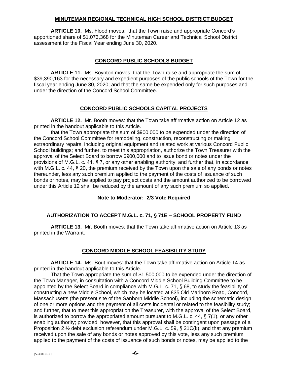### **MINUTEMAN REGIONAL TECHNICAL HIGH SCHOOL DISTRICT BUDGET**

**ARTICLE 10.** Ms. Flood moves: that the Town raise and appropriate Concord's apportioned share of \$1,073,368 for the Minuteman Career and Technical School District assessment for the Fiscal Year ending June 30, 2020.

### **CONCORD PUBLIC SCHOOLS BUDGET**

**ARTICLE 11.** Ms. Boynton moves: that the Town raise and appropriate the sum of \$39,390,163 for the necessary and expedient purposes of the public schools of the Town for the fiscal year ending June 30, 2020; and that the same be expended only for such purposes and under the direction of the Concord School Committee.

# **CONCORD PUBLIC SCHOOLS CAPITAL PROJECTS**

**ARTICLE 12.** Mr. Booth moves: that the Town take affirmative action on Article 12 as printed in the handout applicable to this Article.

that the Town appropriate the sum of \$900,000 to be expended under the direction of the Concord School Committee for remodeling, construction, reconstructing or making extraordinary repairs, including original equipment and related work at various Concord Public School buildings; and further, to meet this appropriation, authorize the Town Treasurer with the approval of the Select Board to borrow \$900,000 and to issue bond or notes under the provisions of M.G.L. c. 44, § 7, or any other enabling authority; and further that, in accordance with M.G.L. c. 44, § 20, the premium received by the Town upon the sale of any bonds or notes thereunder, less any such premium applied to the payment of the costs of issuance of such bonds or notes, may be applied to pay project costs and the amount authorized to be borrowed under this Article 12 shall be reduced by the amount of any such premium so applied.

# **Note to Moderator: 2/3 Vote Required**

# **AUTHORIZATION TO ACCEPT M.G.L. c. 71, § 71E – SCHOOL PROPERTY FUND**

**ARTICLE 13.** Mr. Booth moves: that the Town take affirmative action on Article 13 as printed in the Warrant.

# **CONCORD MIDDLE SCHOOL FEASIBILITY STUDY**

**ARTICLE 14.** Ms. Bout moves: that the Town take affirmative action on Article 14 as printed in the handout applicable to this Article.

That the Town appropriate the sum of \$1,500,000 to be expended under the direction of the Town Manager, in consultation with a Concord Middle School Building Committee to be appointed by the Select Board in compliance with M.G.L. c. 71, § 68, to study the feasibility of constructing a new Middle School, which may be located at 835 Old Marlboro Road, Concord, Massachusetts (the present site of the Sanborn Middle School), including the schematic design of one or more options and the payment of all costs incidental or related to the feasibility study; and further, that to meet this appropriation the Treasurer, with the approval of the Select Board, is authorized to borrow the appropriated amount pursuant to M.G.L. c. 44, § 7(1), or any other enabling authority; provided, however, that this approval shall be contingent upon passage of a Proposition 2 ½ debt exclusion referendum under M.G.L. c. 59, § 21C(k), and that any premium received upon the sale of any bonds or notes approved by this vote, less any such premium applied to the payment of the costs of issuance of such bonds or notes, may be applied to the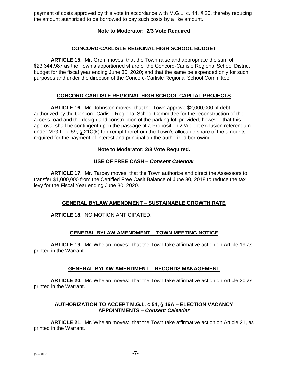payment of costs approved by this vote in accordance with M.G.L. c. 44, § 20, thereby reducing the amount authorized to be borrowed to pay such costs by a like amount.

# **Note to Moderator: 2/3 Vote Required**

### **CONCORD-CARLISLE REGIONAL HIGH SCHOOL BUDGET**

**ARTICLE 15.** Mr. Grom moves: that the Town raise and appropriate the sum of \$23,344,987 as the Town's apportioned share of the Concord-Carlisle Regional School District budget for the fiscal year ending June 30, 2020; and that the same be expended only for such purposes and under the direction of the Concord-Carlisle Regional School Committee.

### **CONCORD-CARLISLE REGIONAL HIGH SCHOOL CAPITAL PROJECTS**

**ARTICLE 16.** Mr. Johnston moves: that the Town approve \$2,000,000 of debt authorized by the Concord-Carlisle Regional School Committee for the reconstruction of the access road and the design and construction of the parking lot; provided, however that this approval shall be contingent upon the passage of a Proposition 2 ½ debt exclusion referendum under M.G.L. c. 59, § 21C(k) to exempt therefrom the Town's allocable share of the amounts required for the payment of interest and principal on the authorized borrowing.

### **Note to Moderator: 2/3 Vote Required.**

### **USE OF FREE CASH –** *Consent Calendar*

**ARTICLE 17.** Mr. Tarpey moves: that the Town authorize and direct the Assessors to transfer \$1,000,000 from the Certified Free Cash Balance of June 30, 2018 to reduce the tax levy for the Fiscal Year ending June 30, 2020.

### **GENERAL BYLAW AMENDMENT – SUSTAINABLE GROWTH RATE**

**ARTICLE 18.** NO MOTION ANTICIPATED.

### **GENERAL BYLAW AMENDMENT – TOWN MEETING NOTICE**

**ARTICLE 19.** Mr. Whelan moves: that the Town take affirmative action on Article 19 as printed in the Warrant.

### **GENERAL BYLAW AMENDMENT – RECORDS MANAGEMENT**

**ARTICLE 20.** Mr. Whelan moves: that the Town take affirmative action on Article 20 as printed in the Warrant.

# **AUTHORIZATION TO ACCEPT M.G.L. c 54, § 16A – ELECTION VACANCY APPOINTMENTS –** *Consent Calendar*

**ARTICLE 21.** Mr. Whelan moves: that the Town take affirmative action on Article 21, as printed in the Warrant.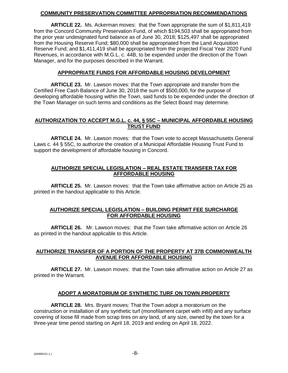# **COMMUNITY PRESERVATION COMMITTEE APPROPRIATION RECOMMENDATIONS**

**ARTICLE 22.** Ms. Ackerman moves: that the Town appropriate the sum of \$1,811,419 from the Concord Community Preservation Fund, of which \$194,503 shall be appropriated from the prior year undesignated fund balance as of June 30, 2018; \$125,497 shall be appropriated from the Housing Reserve Fund; \$80,000 shall be appropriated from the Land Acquisition Reserve Fund; and \$1,411,419 shall be appropriated from the projected Fiscal Year 2020 Fund Revenues, in accordance with M.G.L. c. 44B, to be expended under the direction of the Town Manager, and for the purposes described in the Warrant.

# **APPROPRIATE FUNDS FOR AFFORDABLE HOUSING DEVELOPMENT**

**ARTICLE 23.** Mr. Lawson moves: that the Town appropriate and transfer from the Certified Free Cash Balance of June 30, 2018 the sum of \$500,000, for the purpose of developing affordable housing within the Town, said funds to be expended under the direction of the Town Manager on such terms and conditions as the Select Board may determine.

# **AUTHORIZATION TO ACCEPT M.G.L. c. 44, § 55C – MUNICIPAL AFFORDABLE HOUSING TRUST FUND**

**ARTICLE 24.** Mr. Lawson moves: that the Town vote to accept Massachusetts General Laws c. 44 § 55C, to authorize the creation of a Municipal Affordable Housing Trust Fund to support the development of affordable housing in Concord.

# **AUTHORIZE SPECIAL LEGISLATION – REAL ESTATE TRANSFER TAX FOR AFFORDABLE HOUSING**

**ARTICLE 25.** Mr. Lawson moves: that the Town take affirmative action on Article 25 as printed in the handout applicable to this Article.

# **AUTHORIZE SPECIAL LEGISLATION – BUILDING PERMIT FEE SURCHARGE FOR AFFORDABLE HOUSING**

**ARTICLE 26.** Mr. Lawson moves: that the Town take affirmative action on Article 26 as printed in the handout applicable to this Article.

# **AUTHORIZE TRANSFER OF A PORTION OF THE PROPERTY AT 37B COMMONWEALTH AVENUE FOR AFFORDABLE HOUSING**

**ARTICLE 27.** Mr. Lawson moves: that the Town take affirmative action on Article 27 as printed in the Warrant.

# **ADOPT A MORATORIUM OF SYNTHETIC TURF ON TOWN PROPERTY**

**ARTICLE 28.** Mrs. Bryant moves: That the Town adopt a moratorium on the construction or installation of any synthetic turf (monofilament carpet with infill) and any surface covering of loose fill made from scrap tires on any land, of any size, owned by the town for a three-year time period starting on April 18, 2019 and ending on April 18, 2022.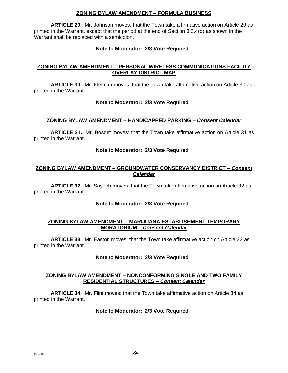### **ZONING BYLAW AMENDMENT – FORMULA BUSINESS**

**ARTICLE 29.** Mr. Johnson moves: that the Town take affirmative action on Article 29 as printed in the Warrant, except that the period at the end of Section 3.3.4(d) as shown in the Warrant shall be replaced with a semicolon.

### **Note to Moderator: 2/3 Vote Required**

# **ZONING BYLAW AMENDMENT – PERSONAL WIRELESS COMMUNICATIONS FACILITY OVERLAY DISTRICT MAP**

**ARTICLE 30.** Mr. Kleiman moves: that the Town take affirmative action on Article 30 as printed in the Warrant.

# **Note to Moderator: 2/3 Vote Required**

# **ZONING BYLAW AMENDMENT – HANDICAPPED PARKING –** *Consent Calendar*

**ARTICLE 31.** Mr. Bosdet moves: that the Town take affirmative action on Article 31 as printed in the Warrant.

### **Note to Moderator: 2/3 Vote Required**

# **ZONING BYLAW AMENDMENT – GROUNDWATER CONSERVANCY DISTRICT –** *Consent Calendar*

**ARTICLE 32.** Mr. Sayegh moves: that the Town take affirmative action on Article 32 as printed in the Warrant.

### **Note to Moderator: 2/3 Vote Required**

# **ZONING BYLAW AMENDMENT – MARIJUANA ESTABLISHMENT TEMPORARY MORATORIUM –** *Consent Calendar*

**ARTICLE 33.** Mr. Easton moves: that the Town take affirmative action on Article 33 as printed in the Warrant

### **Note to Moderator: 2/3 Vote Required**

### **ZONING BYLAW AMENDMENT – NONCONFORMING SINGLE AND TWO FAMILY RESIDENTIAL STRUCTURES –** *Consent Calendar*

**ARTICLE 34.** Mr. Flint moves: that the Town take affirmative action on Article 34 as printed in the Warrant.

### **Note to Moderator: 2/3 Vote Required**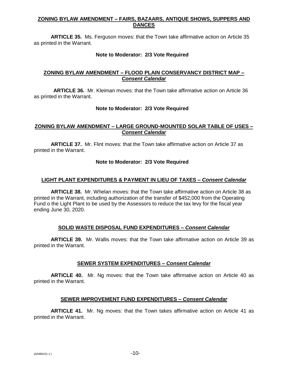# **ZONING BYLAW AMENDMENT – FAIRS, BAZAARS, ANTIQUE SHOWS, SUPPERS AND DANCES**

**ARTICLE 35.** Ms. Ferguson moves: that the Town take affirmative action on Article 35 as printed in the Warrant.

### **Note to Moderator: 2/3 Vote Required**

### **ZONING BYLAW AMENDMENT – FLOOD PLAIN CONSERVANCY DISTRICT MAP –** *Consent Calendar*

**ARTICLE 36.** Mr. Kleiman moves: that the Town take affirmative action on Article 36 as printed in the Warrant.

### **Note to Moderator: 2/3 Vote Required**

### **ZONING BYLAW AMENDMENT – LARGE GROUND-MOUNTED SOLAR TABLE OF USES –** *Consent Calendar*

**ARTICLE 37.** Mr. Flint moves: that the Town take affirmative action on Article 37 as printed in the Warrant.

### **Note to Moderator: 2/3 Vote Required**

# **LIGHT PLANT EXPENDITURES & PAYMENT IN LIEU OF TAXES –** *Consent Calendar*

**ARTICLE 38.** Mr. Whelan moves: that the Town take affirmative action on Article 38 as printed in the Warrant, including authorization of the transfer of \$452,000 from the Operating Fund o the Light Plant to be used by the Assessors to reduce the tax levy for the fiscal year ending June 30, 2020.

# **SOLID WASTE DISPOSAL FUND EXPENDITURES –** *Consent Calendar*

**ARTICLE 39.** Mr. Wallis moves: that the Town take affirmative action on Article 39 as printed in the Warrant.

### **SEWER SYSTEM EXPENDITURES –** *Consent Calendar*

**ARTICLE 40.** Mr. Ng moves: that the Town take affirmative action on Article 40 as printed in the Warrant.

### **SEWER IMPROVEMENT FUND EXPENDITURES –** *Consent Calendar*

**ARTICLE 41.** Mr. Ng moves: that the Town takes affirmative action on Article 41 as printed in the Warrant.